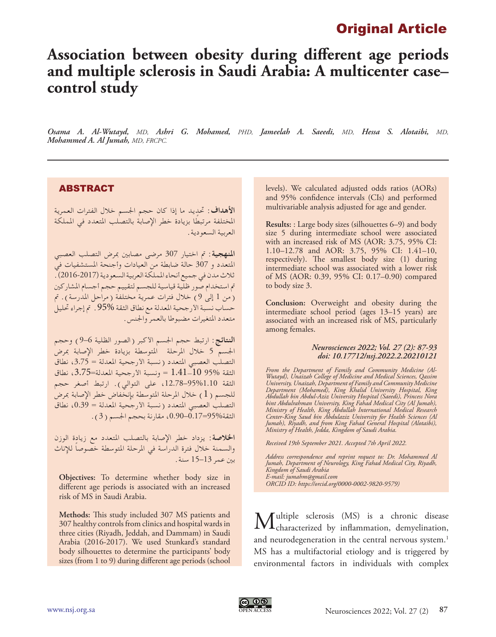## Original Article

# **Association between obesity during different age periods and multiple sclerosis in Saudi Arabia: A multicenter case– control study**

*Osama A. Al-Wutayd, MD, Ashri G. Mohamed, PHD, Jameelah A. Saeedi, MD, Hessa S. Alotaibi, MD, Mohammed A. Al Jumah, MD, FRCPC.*

### ABSTRACT

**األهداف:** حتديد ما إذا كان حجم اجلسم خالل الفترات العمرية ً املختلفة مرتبطا بزيادة خطر اإلصابة بالتصلب املتعدد في اململكة العربية السعودية.

**املنهجية:** مت اختيار 307 مرضى مصابني مبرض التصلب العصبي املتعدد و 307 حالة ضابطة من العيادات وأجنحة املستشفيات في ثلاث مدن في جميع أنحاء المملكة العربية السعودية (2017-2016). مت استخدام صور ظلية قياسية للجسم لتقييم حجم أجسام املشاركني (من 1 إلى 9) خلال فترات عمرية مختلفة (مراحل المدرسة). تم حساب نسبة الأرجحية المعدلة مع نطاق الثقة 95% . تم إجراء تحليل متعدد املتغيرات مضبوطا بالعمر واجلنس.

**النتائج:** ارتبط حجم اجلسم األكبر )الصور الظلية 6–9( وحجم اجلسم 5 خالل املرحلة املتوسطة بزيادة خطر اإلصابة مبرض التصلب العصبي المتعدد (نسبة الأرجحية المعدلة = 3.75، نطاق الثقة 95% 1.41 $=1.41$  = ونسبة الأرجحية المعدلة=3.75، نطاق الثقة 95%1-12.78، على التوالي). ارتبط أصغر حجم للجسم ( 1) خلال المرحلة المتوسطة بإنخفاض خطر الإصابة بمرض التصلب العصبي المتعدد (نسبة الأرجحية المعدلة = 0.39، نطاق الثقة95%=0.17–،0.90 مقارنة بحجم اجلسم )3(.

**اخلالصة:** يزداد خطر اإلصابة بالتصلب املتعدد مع زيادة الوزن ً والسمنة خالل فترة الدراسة في املرحلة املتوسطة خصوصا لإلناث بني عمر 13–15 سنة.

**Objectives:** To determine whether body size in different age periods is associated with an increased risk of MS in Saudi Arabia.

**Methods:** This study included 307 MS patients and 307 healthy controls from clinics and hospital wards in three cities (Riyadh, Jeddah, and Dammam) in Saudi Arabia (2016-2017). We used Stunkard's standard body silhouettes to determine the participants' body sizes (from 1 to 9) during different age periods (school

levels). We calculated adjusted odds ratios (AORs) and 95% confidence intervals (CIs) and performed multivariable analysis adjusted for age and gender.

**Results:** : Large body sizes (silhouettes 6–9) and body size 5 during intermediate school were associated with an increased risk of MS (AOR: 3.75, 95% CI: 1.10–12.78 and AOR: 3.75, 95% CI: 1.41–10, respectively). The smallest body size (1) during intermediate school was associated with a lower risk of MS (AOR: 0.39, 95% CI: 0.17–0.90) compared to body size 3.

**Conclusion:** Overweight and obesity during the intermediate school period (ages 13–15 years) are associated with an increased risk of MS, particularly among females.

#### *Neurosciences 2022; Vol. 27 (2): 87-93 doi: 10.17712/nsj.2022.2.20210121*

*From the Department of Family and Community Medicine (Al-Wutayd), Unaizah College of Medicine and Medical Sciences, Qassim University, Unaizah, Department of Family and Community Medicine Department (Mohamed), King Khalid University Hospital, King Abdullah bin Abdul-Aziz University Hospital (Saeedi), Princess Nora bint Abdulrahman University, King Fahad Medical City (Al Jumah), Ministry of Health, King Abdullah International Medical Research Center-King Saud bin Abdulaziz University for Health Sciences (Al Jumah), Riyadh, and from King Fahad General Hospital (Alotaibi), Ministry of Health, Jedda, Kingdom of Saudi Arabia.*

*Received 19th September 2021. Accepted 7th April 2022.*

*Address correspondence and reprint request to: Dr. Mohammed Al Jumah, Department of Neurology, King Fahad Medical City, Riyadh, Kingdom of Saudi Arabia E-mail: jumahm@gmail.com*

*ORCID ID: https://orcid.org/0000-0002-9820-9579)*

Multiple sclerosis (MS) is a chronic disease characterized by inflammation, demyelination, and neurodegeneration in the central nervous system.<sup>1</sup> MS has a multifactorial etiology and is triggered by environmental factors in individuals with complex

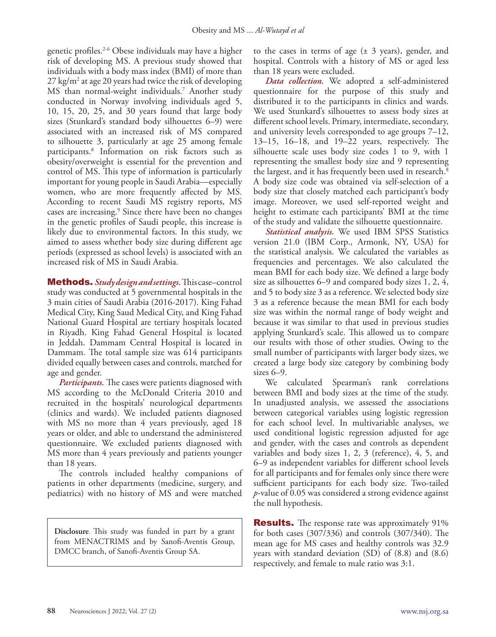genetic profiles.2-6 Obese individuals may have a higher risk of developing MS. A previous study showed that individuals with a body mass index (BMI) of more than 27 kg/m2 at age 20 years had twice the risk of developing MS than normal-weight individuals.7 Another study conducted in Norway involving individuals aged 5, 10, 15, 20, 25, and 30 years found that large body sizes (Stunkard's standard body silhouettes 6–9) were associated with an increased risk of MS compared to silhouette 3, particularly at age 25 among female participants.8 Information on risk factors such as obesity/overweight is essential for the prevention and control of MS. This type of information is particularly important for young people in Saudi Arabia—especially women, who are more frequently affected by MS. According to recent Saudi MS registry reports, MS cases are increasing.<sup>9</sup> Since there have been no changes in the genetic profiles of Saudi people, this increase is likely due to environmental factors. In this study, we aimed to assess whether body size during different age periods (expressed as school levels) is associated with an increased risk of MS in Saudi Arabia.

Methods. *Study design and settings.* This case–control study was conducted at 5 governmental hospitals in the 3 main cities of Saudi Arabia (2016-2017). King Fahad Medical City, King Saud Medical City, and King Fahad National Guard Hospital are tertiary hospitals located in Riyadh. King Fahad General Hospital is located in Jeddah. Dammam Central Hospital is located in Dammam. The total sample size was 614 participants divided equally between cases and controls, matched for age and gender.

*Participants.* The cases were patients diagnosed with MS according to the McDonald Criteria 2010 and recruited in the hospitals' neurological departments (clinics and wards). We included patients diagnosed with MS no more than 4 years previously, aged 18 years or older, and able to understand the administered questionnaire. We excluded patients diagnosed with MS more than 4 years previously and patients younger than 18 years.

The controls included healthy companions of patients in other departments (medicine, surgery, and pediatrics) with no history of MS and were matched

**Disclosure**. This study was funded in part by a grant from MENACTRIMS and by Sanofi-Aventis Group, DMCC branch, of Sanofi-Aventis Group SA.

to the cases in terms of age  $(\pm 3 \text{ years})$ , gender, and hospital. Controls with a history of MS or aged less than 18 years were excluded.

*Data collection.* We adopted a self-administered questionnaire for the purpose of this study and distributed it to the participants in clinics and wards. We used Stunkard's silhouettes to assess body sizes at different school levels. Primary, intermediate, secondary, and university levels corresponded to age groups 7–12, 13–15, 16–18, and 19–22 years, respectively. The silhouette scale uses body size codes 1 to 9, with 1 representing the smallest body size and 9 representing the largest, and it has frequently been used in research.<sup>8</sup> A body size code was obtained via self-selection of a body size that closely matched each participant's body image. Moreover, we used self-reported weight and height to estimate each participants' BMI at the time of the study and validate the silhouette questionnaire.

*Statistical analysis.* We used IBM SPSS Statistics version 21.0 (IBM Corp., Armonk, NY, USA) for the statistical analysis. We calculated the variables as frequencies and percentages. We also calculated the mean BMI for each body size. We defined a large body size as silhouettes 6–9 and compared body sizes 1, 2, 4, and 5 to body size 3 as a reference. We selected body size 3 as a reference because the mean BMI for each body size was within the normal range of body weight and because it was similar to that used in previous studies applying Stunkard's scale. This allowed us to compare our results with those of other studies. Owing to the small number of participants with larger body sizes, we created a large body size category by combining body sizes 6–9.

We calculated Spearman's rank correlations between BMI and body sizes at the time of the study. In unadjusted analysis, we assessed the associations between categorical variables using logistic regression for each school level. In multivariable analyses, we used conditional logistic regression adjusted for age and gender, with the cases and controls as dependent variables and body sizes 1, 2, 3 (reference), 4, 5, and 6–9 as independent variables for different school levels for all participants and for females only since there were sufficient participants for each body size. Two-tailed *p*-value of 0.05 was considered a strong evidence against the null hypothesis.

**Results.** The response rate was approximately 91% for both cases (307/336) and controls (307/340). The mean age for MS cases and healthy controls was 32.9 years with standard deviation (SD) of (8.8) and (8.6) respectively, and female to male ratio was 3:1.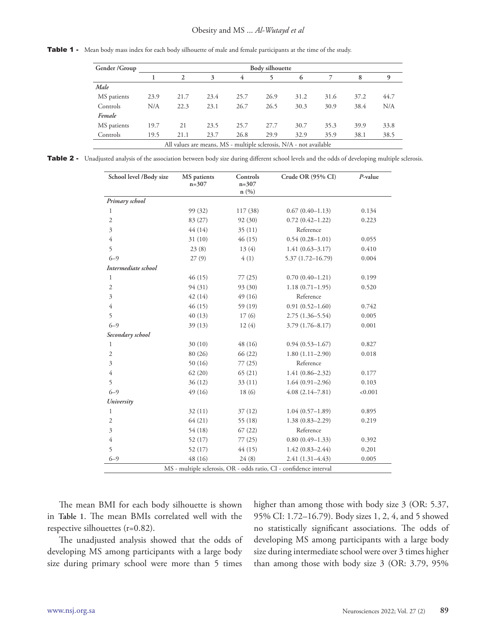Table 1 - Mean body mass index for each body silhouette of male and female participants at the time of the study.

| Gender / Group |                                                                    |                |      |      | Body silhouette |      |      |      |      |  |  |  |  |  |  |  |
|----------------|--------------------------------------------------------------------|----------------|------|------|-----------------|------|------|------|------|--|--|--|--|--|--|--|
|                |                                                                    | $\mathfrak{D}$ | 3    | 4    |                 | 6    |      | 8    | 9    |  |  |  |  |  |  |  |
| Male           |                                                                    |                |      |      |                 |      |      |      |      |  |  |  |  |  |  |  |
| MS patients    | 23.9                                                               | 21.7           | 23.4 | 25.7 | 26.9            | 31.2 | 31.6 | 37.2 | 44.7 |  |  |  |  |  |  |  |
| Controls       | N/A                                                                | 22.3           | 23.1 | 26.7 | 26.5            | 30.3 | 30.9 | 38.4 | N/A  |  |  |  |  |  |  |  |
| Female         |                                                                    |                |      |      |                 |      |      |      |      |  |  |  |  |  |  |  |
| MS patients    | 19.7                                                               | 21             | 23.5 | 25.7 | 27.7            | 30.7 | 35.3 | 39.9 | 33.8 |  |  |  |  |  |  |  |
| Controls       | 19.5                                                               | 21.1           | 23.7 | 26.8 | 29.9            | 32.9 | 35.9 | 38.1 | 38.5 |  |  |  |  |  |  |  |
|                | All values are means, MS - multiple sclerosis, N/A - not available |                |      |      |                 |      |      |      |      |  |  |  |  |  |  |  |

|  |  |  |  |  |  | <b>Table 2</b> - Unadiusted analysis of the association between body size during different school levels and the odds of developing multiple sclerosis. |  |  |  |  |  |  |  |  |  |  |  |  |  |  |
|--|--|--|--|--|--|---------------------------------------------------------------------------------------------------------------------------------------------------------|--|--|--|--|--|--|--|--|--|--|--|--|--|--|
|--|--|--|--|--|--|---------------------------------------------------------------------------------------------------------------------------------------------------------|--|--|--|--|--|--|--|--|--|--|--|--|--|--|

| School level /Body size | MS patients<br>$n=307$ | Controls<br>$n=307$<br>n(%) | Crude OR (95% CI)                                                  | $P$ -value |
|-------------------------|------------------------|-----------------------------|--------------------------------------------------------------------|------------|
| Primary school          |                        |                             |                                                                    |            |
| 1                       | 99 (32)                | 117 (38)                    | $0.67(0.40 - 1.13)$                                                | 0.134      |
| $\overline{2}$          | 83 (27)                | 92 (30)                     | $0.72(0.42 - 1.22)$                                                | 0.223      |
| $\overline{3}$          | 44(14)                 | 35(11)                      | Reference                                                          |            |
| $\overline{4}$          | 31(10)                 | 46(15)                      | $0.54(0.28 - 1.01)$                                                | 0.055      |
| 5                       | 23(8)                  | 13(4)                       | $1.41(0.63 - 3.17)$                                                | 0.410      |
| $6 - 9$                 | 27(9)                  | 4(1)                        | $5.37(1.72 - 16.79)$                                               | 0.004      |
| Intermediate school     |                        |                             |                                                                    |            |
| 1                       | 46(15)                 | 77(25)                      | $0.70(0.40 - 1.21)$                                                | 0.199      |
| $\overline{2}$          | 94 (31)                | 93 (30)                     | $1.18(0.71 - 1.95)$                                                | 0.520      |
| $\overline{3}$          | 42(14)                 | 49(16)                      | Reference                                                          |            |
| $\overline{4}$          | 46(15)                 | 59 (19)                     | $0.91(0.52 - 1.60)$                                                | 0.742      |
| 5                       | 40(13)                 | 17(6)                       | $2.75(1.36 - 5.54)$                                                | 0.005      |
| $6 - 9$                 | 39(13)                 | 12(4)                       | $3.79(1.76 - 8.17)$                                                | 0.001      |
| Secondary school        |                        |                             |                                                                    |            |
| 1                       | 30(10)                 | 48 (16)                     | $0.94(0.53 - 1.67)$                                                | 0.827      |
| $\mathfrak{2}$          | 80 (26)                | 66 (22)                     | $1.80(1.11-2.90)$                                                  | 0.018      |
| 3                       | 50(16)                 | 77(25)                      | Reference                                                          |            |
| $\overline{4}$          | 62(20)                 | 65(21)                      | $1.41(0.86 - 2.32)$                                                | 0.177      |
| 5                       | 36(12)                 | 33(11)                      | $1.64(0.91 - 2.96)$                                                | 0.103      |
| $6 - 9$                 | 49(16)                 | 18(6)                       | $4.08(2.14 - 7.81)$                                                | < 0.001    |
| University              |                        |                             |                                                                    |            |
| 1                       | 32(11)                 | 37(12)                      | $1.04(0.57-1.89)$                                                  | 0.895      |
| $\mathfrak{2}$          | 64(21)                 | 55 $(18)$                   | $1.38(0.83 - 2.29)$                                                | 0.219      |
| 3                       | 54 (18)                | 67(22)                      | Reference                                                          |            |
| $\overline{4}$          | 52 (17)                | 77(25)                      | $0.80(0.49 - 1.33)$                                                | 0.392      |
| 5                       | 52(17)                 | 44(15)                      | $1.42(0.83 - 2.44)$                                                | 0.201      |
| $6 - 9$                 | 48 (16)                | 24(8)                       | $2.41(1.31 - 4.43)$                                                | 0.005      |
|                         |                        |                             | MS - multiple sclerosis, OR - odds ratio, CI - confidence interval |            |

The mean BMI for each body silhouette is shown in **Table 1**. The mean BMIs correlated well with the respective silhouettes (r=0.82).

The unadjusted analysis showed that the odds of developing MS among participants with a large body size during primary school were more than 5 times

higher than among those with body size 3 (OR: 5.37, 95% CI: 1.72–16.79). Body sizes 1, 2, 4, and 5 showed no statistically significant associations. The odds of developing MS among participants with a large body size during intermediate school were over 3 times higher than among those with body size 3 (OR: 3.79, 95%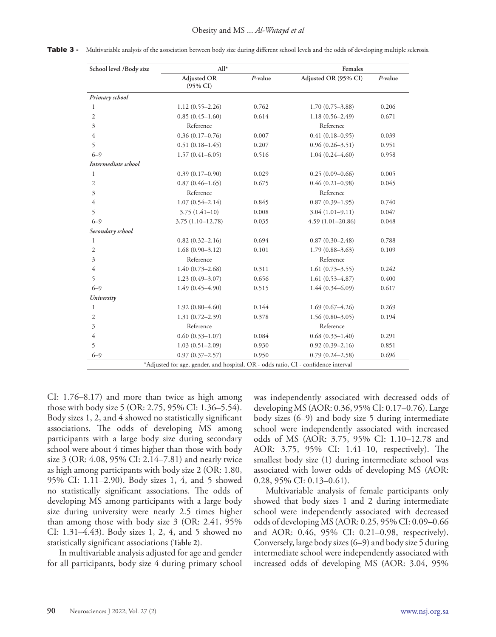| School level /Body size | $All*$                                                                             |            | Females              |            |
|-------------------------|------------------------------------------------------------------------------------|------------|----------------------|------------|
|                         | <b>Adjusted OR</b><br>$(95\% \text{ CI})$                                          | $P$ -value | Adjusted OR (95% CI) | $P$ -value |
| Primary school          |                                                                                    |            |                      |            |
| 1                       | $1.12(0.55 - 2.26)$                                                                | 0.762      | $1.70(0.75 - 3.88)$  | 0.206      |
| 2                       | $0.85(0.45 - 1.60)$                                                                | 0.614      | $1.18(0.56 - 2.49)$  | 0.671      |
| 3                       | Reference                                                                          |            | Reference            |            |
| 4                       | $0.36(0.17-0.76)$                                                                  | 0.007      | $0.41(0.18 - 0.95)$  | 0.039      |
| 5                       | $0.51(0.18-1.45)$                                                                  | 0.207      | $0.96(0.26 - 3.51)$  | 0.951      |
| $6 - 9$                 | $1.57(0.41 - 6.05)$                                                                | 0.516      | $1.04(0.24 - 4.60)$  | 0.958      |
| Intermediate school     |                                                                                    |            |                      |            |
| 1                       | $0.39(0.17-0.90)$                                                                  | 0.029      | $0.25(0.09-0.66)$    | 0.005      |
| 2                       | $0.87(0.46 - 1.65)$                                                                | 0.675      | $0.46(0.21 - 0.98)$  | 0.045      |
| 3                       | Reference                                                                          |            | Reference            |            |
| $\overline{4}$          | $1.07(0.54 - 2.14)$                                                                | 0.845      | $0.87(0.39-1.95)$    | 0.740      |
| 5                       | $3.75(1.41-10)$                                                                    | 0.008      | $3.04(1.01-9.11)$    | 0.047      |
| $6 - 9$                 | $3.75(1.10-12.78)$                                                                 | 0.035      | $4.59(1.01-20.86)$   | 0.048      |
| Secondary school        |                                                                                    |            |                      |            |
| 1                       | $0.82(0.32 - 2.16)$                                                                | 0.694      | $0.87(0.30 - 2.48)$  | 0.788      |
| 2                       | $1.68(0.90 - 3.12)$                                                                | 0.101      | $1.79(0.88 - 3.63)$  | 0.109      |
| 3                       | Reference                                                                          |            | Reference            |            |
| $\overline{4}$          | $1.40(0.73 - 2.68)$                                                                | 0.311      | $1.61(0.73 - 3.55)$  | 0.242      |
| 5                       | $1.23(0.49 - 3.07)$                                                                | 0.656      | $1.61(0.53 - 4.87)$  | 0.400      |
| $6 - 9$                 | $1.49(0.45 - 4.90)$                                                                | 0.515      | $1.44(0.34 - 6.09)$  | 0.617      |
| University              |                                                                                    |            |                      |            |
| 1                       | $1.92(0.80 - 4.60)$                                                                | 0.144      | $1.69(0.67 - 4.26)$  | 0.269      |
| $\overline{c}$          | $1.31(0.72 - 2.39)$                                                                | 0.378      | $1.56(0.80 - 3.05)$  | 0.194      |
| 3                       | Reference                                                                          |            | Reference            |            |
| 4                       | $0.60(0.33 - 1.07)$                                                                | 0.084      | $0.68(0.33 - 1.40)$  | 0.291      |
| 5                       | $1.03(0.51 - 2.09)$                                                                | 0.930      | $0.92(0.39 - 2.16)$  | 0.851      |
| $6 - 9$                 | $0.97(0.37 - 2.57)$                                                                | 0.950      | $0.79(0.24 - 2.58)$  | 0.696      |
|                         | *Adjusted for age, gender, and hospital, OR - odds ratio, CI - confidence interval |            |                      |            |

Table 3 - Multivariable analysis of the association between body size during different school levels and the odds of developing multiple sclerosis.

CI: 1.76–8.17) and more than twice as high among those with body size 5 (OR: 2.75, 95% CI: 1.36–5.54). Body sizes 1, 2, and 4 showed no statistically significant associations. The odds of developing MS among participants with a large body size during secondary school were about 4 times higher than those with body size 3 (OR: 4.08, 95% CI: 2.14–7.81) and nearly twice as high among participants with body size 2 (OR: 1.80, 95% CI: 1.11–2.90). Body sizes 1, 4, and 5 showed no statistically significant associations. The odds of developing MS among participants with a large body size during university were nearly 2.5 times higher than among those with body size 3 (OR: 2.41, 95% CI: 1.31–4.43). Body sizes 1, 2, 4, and 5 showed no statistically significant associations **(Table 2)**.

In multivariable analysis adjusted for age and gender for all participants, body size 4 during primary school was independently associated with decreased odds of developing MS (AOR: 0.36, 95% CI: 0.17–0.76). Large body sizes (6–9) and body size 5 during intermediate school were independently associated with increased odds of MS (AOR: 3.75, 95% CI: 1.10–12.78 and AOR: 3.75, 95% CI: 1.41–10, respectively). The smallest body size (1) during intermediate school was associated with lower odds of developing MS (AOR: 0.28, 95% CI: 0.13–0.61).

Multivariable analysis of female participants only showed that body sizes 1 and 2 during intermediate school were independently associated with decreased odds of developing MS (AOR: 0.25, 95% CI: 0.09–0.66 and AOR: 0.46, 95% CI: 0.21–0.98, respectively). Conversely, large body sizes (6–9) and body size 5 during intermediate school were independently associated with increased odds of developing MS (AOR: 3.04, 95%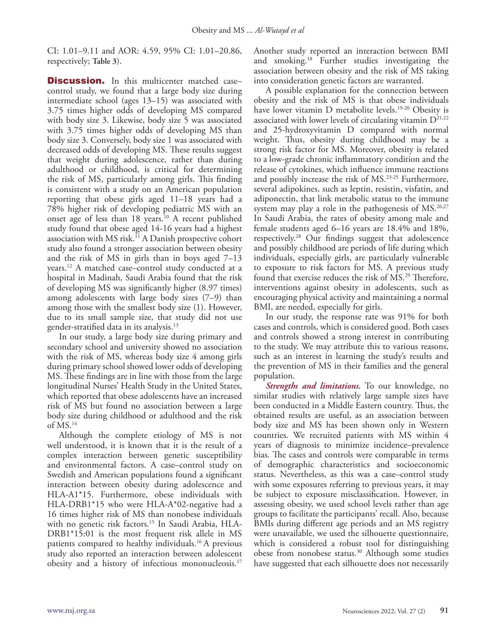CI: 1.01–9.11 and AOR: 4.59, 95% CI: 1.01–20.86, respectively; **Table 3**).

**Discussion.** In this multicenter matched casecontrol study, we found that a large body size during intermediate school (ages 13–15) was associated with 3.75 times higher odds of developing MS compared with body size 3. Likewise, body size 5 was associated with 3.75 times higher odds of developing MS than body size 3. Conversely, body size 1 was associated with decreased odds of developing MS. These results suggest that weight during adolescence, rather than during adulthood or childhood, is critical for determining the risk of MS, particularly among girls. This finding is consistent with a study on an American population reporting that obese girls aged 11–18 years had a 78% higher risk of developing pediatric MS with an onset age of less than 18 years.<sup>10</sup> A recent published study found that obese aged 14-16 years had a highest association with MS risk.<sup>11</sup> A Danish prospective cohort study also found a stronger association between obesity and the risk of MS in girls than in boys aged 7–13 years.12 A matched case–control study conducted at a hospital in Madinah, Saudi Arabia found that the risk of developing MS was significantly higher (8.97 times) among adolescents with large body sizes (7–9) than among those with the smallest body size (1). However, due to its small sample size, that study did not use gender-stratified data in its analysis.13

In our study, a large body size during primary and secondary school and university showed no association with the risk of MS, whereas body size 4 among girls during primary school showed lower odds of developing MS. These findings are in line with those from the large longitudinal Nurses' Health Study in the United States, which reported that obese adolescents have an increased risk of MS but found no association between a large body size during childhood or adulthood and the risk of MS.14

Although the complete etiology of MS is not well understood, it is known that it is the result of a complex interaction between genetic susceptibility and environmental factors. A case–control study on Swedish and American populations found a significant interaction between obesity during adolescence and HLA-A1\*15. Furthermore, obese individuals with HLA-DRB1\*15 who were HLA-A\*02-negative had a 16 times higher risk of MS than nonobese individuals with no genetic risk factors.<sup>15</sup> In Saudi Arabia, HLA-DRB1\*15:01 is the most frequent risk allele in MS patients compared to healthy individuals.16 A previous study also reported an interaction between adolescent obesity and a history of infectious mononucleosis.17

Another study reported an interaction between BMI and smoking.18 Further studies investigating the association between obesity and the risk of MS taking into consideration genetic factors are warranted.

A possible explanation for the connection between obesity and the risk of MS is that obese individuals have lower vitamin D metabolite levels.<sup>19-20</sup> Obesity is associated with lower levels of circulating vitamin  $D^{21,22}$ and 25-hydroxyvitamin D compared with normal weight. Thus, obesity during childhood may be a strong risk factor for MS. Moreover, obesity is related to a low-grade chronic inflammatory condition and the release of cytokines, which influence immune reactions and possibly increase the risk of MS.23-25 Furthermore, several adipokines, such as leptin, resistin, visfatin, and adiponectin, that link metabolic status to the immune system may play a role in the pathogenesis of  $MS.26,27$ In Saudi Arabia, the rates of obesity among male and female students aged 6–16 years are 18.4% and 18%, respectively.28 Our findings suggest that adolescence and possibly childhood are periods of life during which individuals, especially girls, are particularly vulnerable to exposure to risk factors for MS. A previous study found that exercise reduces the risk of MS.<sup>29</sup> Therefore, interventions against obesity in adolescents, such as encouraging physical activity and maintaining a normal BMI, are needed, especially for girls.

In our study, the response rate was 91% for both cases and controls, which is considered good. Both cases and controls showed a strong interest in contributing to the study. We may attribute this to various reasons, such as an interest in learning the study's results and the prevention of MS in their families and the general population.

*Strengths and limitations.* To our knowledge, no similar studies with relatively large sample sizes have been conducted in a Middle Eastern country. Thus, the obtained results are useful, as an association between body size and MS has been shown only in Western countries. We recruited patients with MS within 4 years of diagnosis to minimize incidence–prevalence bias. The cases and controls were comparable in terms of demographic characteristics and socioeconomic status. Nevertheless, as this was a case–control study with some exposures referring to previous years, it may be subject to exposure misclassification. However, in assessing obesity, we used school levels rather than age groups to facilitate the participants' recall. Also, because BMIs during different age periods and an MS registry were unavailable, we used the silhouette questionnaire, which is considered a robust tool for distinguishing obese from nonobese status.<sup>30</sup> Although some studies have suggested that each silhouette does not necessarily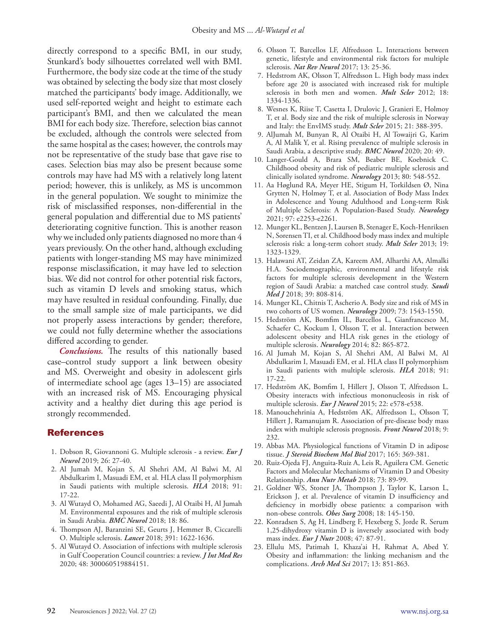directly correspond to a specific BMI, in our study, Stunkard's body silhouettes correlated well with BMI. Furthermore, the body size code at the time of the study was obtained by selecting the body size that most closely matched the participants' body image. Additionally, we used self-reported weight and height to estimate each participant's BMI, and then we calculated the mean BMI for each body size. Therefore, selection bias cannot be excluded, although the controls were selected from the same hospital as the cases; however, the controls may not be representative of the study base that gave rise to cases. Selection bias may also be present because some controls may have had MS with a relatively long latent period; however, this is unlikely, as MS is uncommon in the general population. We sought to minimize the risk of misclassified responses, non-differential in the general population and differential due to MS patients' deteriorating cognitive function. This is another reason why we included only patients diagnosed no more than 4 years previously. On the other hand, although excluding patients with longer-standing MS may have minimized response misclassification, it may have led to selection bias. We did not control for other potential risk factors, such as vitamin D levels and smoking status, which may have resulted in residual confounding. Finally, due to the small sample size of male participants, we did not properly assess interactions by gender; therefore, we could not fully determine whether the associations differed according to gender.

*Conclusions.* The results of this nationally based case–control study support a link between obesity and MS. Overweight and obesity in adolescent girls of intermediate school age (ages 13–15) are associated with an increased risk of MS. Encouraging physical activity and a healthy diet during this age period is strongly recommended.

### References

- 1. Dobson R, Giovannoni G. Multiple sclerosis a review. *Eur J Neurol* 2019; 26: 27-40.
- 2. Al Jumah M, Kojan S, Al Shehri AM, Al Balwi M, Al Abdulkarim I, Masuadi EM, et al. HLA class II polymorphism in Saudi patients with multiple sclerosis. *HLA* 2018; 91: 17-22.
- 3. Al Wutayd O, Mohamed AG, Saeedi J, Al Otaibi H, Al Jumah M. Environmental exposures and the risk of multiple sclerosis in Saudi Arabia. *BMC Neurol* 2018; 18: 86.
- 4. Thompson AJ, Baranzini SE, Geurts J, Hemmer B, Ciccarelli O. Multiple sclerosis. *Lancet* 2018; 391: 1622-1636.
- 5. Al Wutayd O. Association of infections with multiple sclerosis in Gulf Cooperation Council countries: a review. *J Int Med Res* 2020; 48: 300060519884151.
- 6. Olsson T, Barcellos LF, Alfredsson L. Interactions between genetic, lifestyle and environmental risk factors for multiple sclerosis. *Nat Rev Neurol* 2017; 13: 25-36.
- 7. Hedstrom AK, Olsson T, Alfredsson L. High body mass index before age 20 is associated with increased risk for multiple sclerosis in both men and women. *Mult Scler* 2012; 18: 1334-1336.
- 8. Wesnes K, Riise T, Casetta I, Drulovic J, Granieri E, Holmoy T, et al. Body size and the risk of multiple sclerosis in Norway and Italy: the EnvIMS study. *Mult Scler* 2015; 21: 388-395.
- 9. AlJumah M, Bunyan R, Al Otaibi H, Al Towaijri G, Karim A, Al Malik Y, et al. Rising prevalence of multiple sclerosis in Saudi Arabia, a descriptive study. *BMC Neurol* 2020; 20: 49.
- 10. Langer-Gould A, Brara SM, Beaber BE, Koebnick C. Childhood obesity and risk of pediatric multiple sclerosis and clinically isolated syndrome. *Neurology* 2013; 80: 548-552.
- 11. Aa Høglund RA, Meyer HE, Stigum H, Torkildsen Ø, Nina Grytten N, Holmøy T, et al. Association of Body Mass Index in Adolescence and Young Adulthood and Long-term Risk of Multiple Sclerosis: A Population-Based Study. *Neurology* 2021; 97: e2253-e2261.
- 12. Munger KL, Bentzen J, Laursen B, Stenager E, Koch-Henriksen N, Sorensen TI, et al. Childhood body mass index and multiple sclerosis risk: a long-term cohort study. *Mult Scler* 2013; 19: 1323-1329.
- 13. Halawani AT, Zeidan ZA, Kareem AM, Alharthi AA, Almalki H.A. Sociodemographic, environmental and lifestyle risk factors for multiple sclerosis development in the Western region of Saudi Arabia: a matched case control study. *Saudi Med J* 2018; 39: 808-814.
- 14. Munger KL, Chitnis T, Ascherio A. Body size and risk of MS in two cohorts of US women. *Neurology* 2009; 73: 1543-1550.
- 15. Hedström AK, Bomfim IL, Barcellos L, Gianfrancesco M, Schaefer C, Kockum I, Olsson T, et al. Interaction between adolescent obesity and HLA risk genes in the etiology of multiple sclerosis. *Neurology* 2014; 82: 865-872.
- 16. Al Jumah M, Kojan S, Al Shehri AM, Al Balwi M, Al Abdulkarim I, Masuadi EM, et al. HLA class II polymorphism in Saudi patients with multiple sclerosis. *HLA* 2018; 91: 17-22.
- 17. Hedström AK, Bomfim I, Hillert J, Olsson T, Alfredsson L. Obesity interacts with infectious mononucleosis in risk of multiple sclerosis. *Eur J Neurol* 2015; 22: e578-e538.
- 18. Manouchehrinia A, Hedström AK, Alfredsson L, Olsson T, Hillert J, Ramanujam R. Association of pre-disease body mass index with multiple sclerosis prognosis. *Front Neurol* 2018; 9: 232.
- 19. Abbas MA. Physiological functions of Vitamin D in adipose tissue. *J Steroid Biochem Mol Biol* 2017; 165: 369-381.
- 20. Ruiz-Ojeda FJ, Anguita-Ruiz A, Leis R, Aguilera CM. Genetic Factors and Molecular Mechanisms of Vitamin D and Obesity Relationship. *Ann Nutr Metab* 2018; 73: 89-99.
- 21. Goldner WS, Stoner JA, Thompson J, Taylor K, Larson L, Erickson J, et al. Prevalence of vitamin D insufficiency and deficiency in morbidly obese patients: a comparison with non-obese controls. *Obes Surg* 2008; 18: 145-150.
- 22. Konradsen S, Ag H, Lindberg F, Hexeberg S, Jorde R. Serum 1,25-dihydroxy vitamin D is inversely associated with body mass index. *Eur J Nutr* 2008; 47: 87-91.
- 23. Ellulu MS, Patimah I, Khaza'ai H, Rahmat A, Abed Y. Obesity and inflammation: the linking mechanism and the complications. *Arch Med Sci* 2017; 13: 851-863.